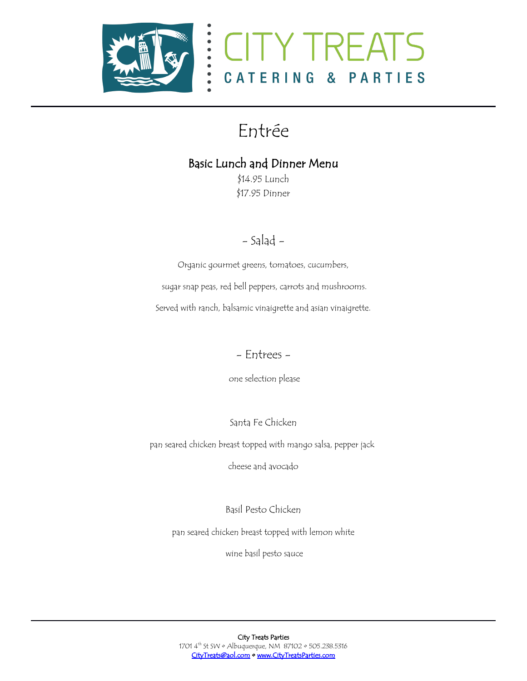



## Entrée

## Basic Lunch and Dinner Menu

\$14.95 Lunch \$17.95 Dinner

## - Salad -

Organic gourmet greens, tomatoes, cucumbers,

sugar snap peas, red bell peppers, carrots and mushrooms.

Served with ranch, balsamic vinaigrette and asian vinaigrette.

- Entrees -

one selection please

Santa Fe Chicken

pan seared chicken breast topped with mango salsa, pepper jack

cheese and avocado

Basil Pesto Chicken

pan seared chicken breast topped with lemon white

wine basil pesto sauce

City Treats Parties 1701 4<sup>th</sup> St SW · Albuquerque, NM 87102 · 505.238.5316 [CityTreats@aol.com](mailto:CityTreats@aol.com) • [www.CityTreatsParties.com](http://www.CityTreatsParties.com/)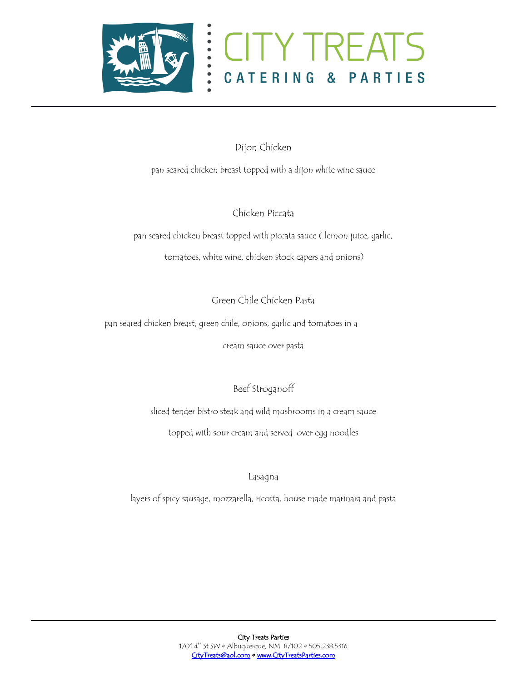



Dijon Chicken

pan seared chicken breast topped with a dijon white wine sauce

Chicken Piccata

pan seared chicken breast topped with piccata sauce ( lemon juice, garlic,

tomatoes, white wine, chicken stock capers and onions)

Green Chile Chicken Pasta

pan seared chicken breast, green chile, onions, garlic and tomatoes in a

cream sauce over pasta

Beef Stroganoff

sliced tender bistro steak and wild mushrooms in a cream sauce

topped with sour cream and served over egg noodles

Lasagna

layers of spicy sausage, mozzarella, ricotta, house made marinara and pasta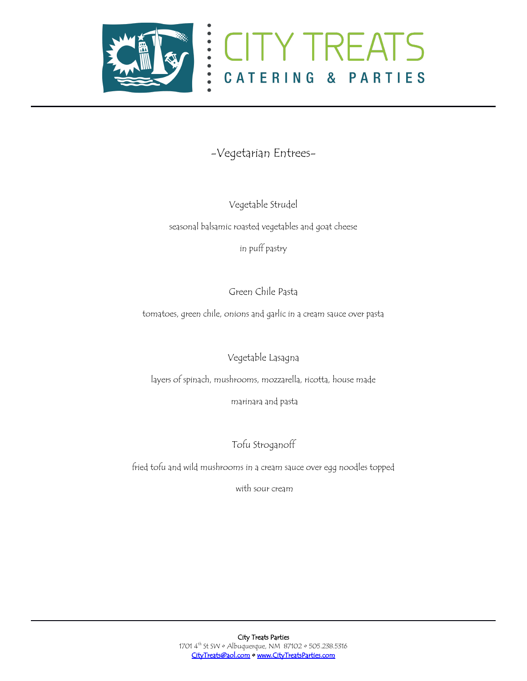



## -Vegetarian Entrees-

Vegetable Strudel

seasonal balsamic roasted vegetables and goat cheese

in puff pastry

Green Chile Pasta

tomatoes, green chile, onions and garlic in a cream sauce over pasta

Vegetable Lasagna

layers of spinach, mushrooms, mozzarella, ricotta, house made

marinara and pasta

Tofu Stroganoff

fried tofu and wild mushrooms in a cream sauce over egg noodles topped

with sour cream